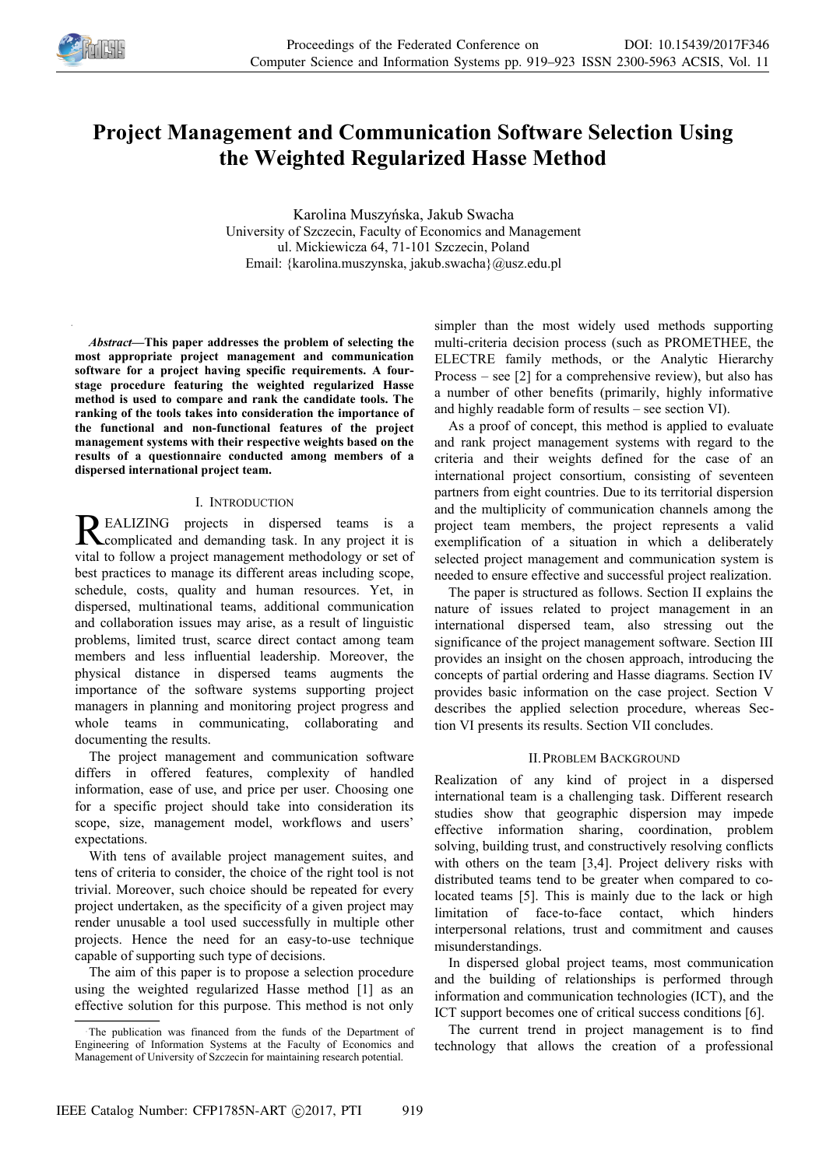

# **Project Management and Communication Software Selection Using the Weighted Regularized Hasse Method**

Karolina Muszyńska, Jakub Swacha University of Szczecin, Faculty of Economics and Management ul. Mickiewicza 64, 71-101 Szczecin, Poland Email: {karolina.muszynska, jakub.swacha}@usz.edu.pl

*Abstract—***This paper addresses the problem of selecting the most appropriate project management and communication software for a project having specific requirements. A fourstage procedure featuring the weighted regularized Hasse method is used to compare and rank the candidate tools. The ranking of the tools takes into consideration the importance of the functional and non-functional features of the project management systems with their respective weights based on the results of a questionnaire conducted among members of a dispersed international project team.**

### I. INTRODUCTION

EALIZING projects in dispersed teams is a REALIZING projects in dispersed teams is a<br>complicated and demanding task. In any project it is vital to follow a project management methodology or set of best practices to manage its different areas including scope, schedule, costs, quality and human resources. Yet, in dispersed, multinational teams, additional communication and collaboration issues may arise, as a result of linguistic problems, limited trust, scarce direct contact among team members and less influential leadership. Moreover, the physical distance in dispersed teams augments the importance of the software systems supporting project managers in planning and monitoring project progress and whole teams in communicating, collaborating and documenting the results.

The project management and communication software differs in offered features, complexity of handled information, ease of use, and price per user. Choosing one for a specific project should take into consideration its scope, size, management model, workflows and users' expectations.

With tens of available project management suites, and tens of criteria to consider, the choice of the right tool is not trivial. Moreover, such choice should be repeated for every project undertaken, as the specificity of a given project may render unusable a tool used successfully in multiple other projects. Hence the need for an easy-to-use technique capable of supporting such type of decisions.

The aim of this paper is to propose a selection procedure using the weighted regularized Hasse method [1] as an effective solution for this purpose. This method is not only

simpler than the most widely used methods supporting multi-criteria decision process (such as PROMETHEE, the ELECTRE family methods, or the Analytic Hierarchy Process – see [2] for a comprehensive review), but also has a number of other benefits (primarily, highly informative and highly readable form of results – see section VI).

As a proof of concept, this method is applied to evaluate and rank project management systems with regard to the criteria and their weights defined for the case of an international project consortium, consisting of seventeen partners from eight countries. Due to its territorial dispersion and the multiplicity of communication channels among the project team members, the project represents a valid exemplification of a situation in which a deliberately selected project management and communication system is needed to ensure effective and successful project realization.

The paper is structured as follows. Section II explains the nature of issues related to project management in an international dispersed team, also stressing out the significance of the project management software. Section III provides an insight on the chosen approach, introducing the concepts of partial ordering and Hasse diagrams. Section IV provides basic information on the case project. Section V describes the applied selection procedure, whereas Section VI presents its results. Section VII concludes.

## II.PROBLEM BACKGROUND

Realization of any kind of project in a dispersed international team is a challenging task. Different research studies show that geographic dispersion may impede effective information sharing, coordination, problem solving, building trust, and constructively resolving conflicts with others on the team [3,4]. Project delivery risks with distributed teams tend to be greater when compared to colocated teams [5]. This is mainly due to the lack or high limitation of face-to-face contact, which hinders interpersonal relations, trust and commitment and causes misunderstandings.

In dispersed global project teams, most communication and the building of relationships is performed through information and communication technologies (ICT), and the ICT support becomes one of critical success conditions [6].

The current trend in project management is to find technology that allows the creation of a professional

The publication was financed from the funds of the Department of Engineering of Information Systems at the Faculty of Economics and Management of University of Szczecin for maintaining research potential.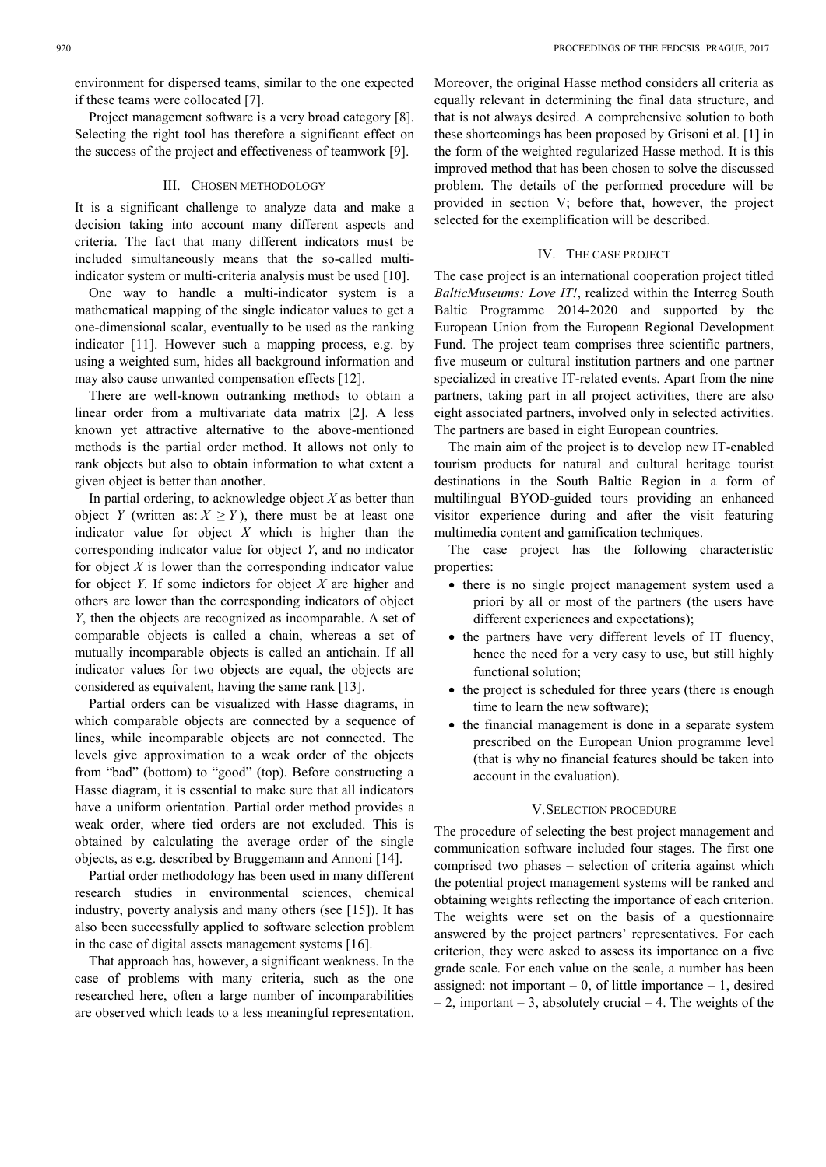environment for dispersed teams, similar to the one expected if these teams were collocated [7].

Project management software is a very broad category [8]. Selecting the right tool has therefore a significant effect on the success of the project and effectiveness of teamwork [9].

#### III. CHOSEN METHODOLOGY

It is a significant challenge to analyze data and make a decision taking into account many different aspects and criteria. The fact that many different indicators must be included simultaneously means that the so-called multiindicator system or multi-criteria analysis must be used [10].

One way to handle a multi-indicator system is a mathematical mapping of the single indicator values to get a one-dimensional scalar, eventually to be used as the ranking indicator [11]. However such a mapping process, e.g. by using a weighted sum, hides all background information and may also cause unwanted compensation effects [12].

There are well-known outranking methods to obtain a linear order from a multivariate data matrix [2]. A less known yet attractive alternative to the above-mentioned methods is the partial order method. It allows not only to rank objects but also to obtain information to what extent a given object is better than another.

In partial ordering, to acknowledge object *X* as better than object *Y* (written as:  $X \geq Y$ ), there must be at least one indicator value for object *X* which is higher than the corresponding indicator value for object *Y*, and no indicator for object *X* is lower than the corresponding indicator value for object *Y*. If some indictors for object *X* are higher and others are lower than the corresponding indicators of object *Y*, then the objects are recognized as incomparable. A set of comparable objects is called a chain, whereas a set of mutually incomparable objects is called an antichain. If all indicator values for two objects are equal, the objects are considered as equivalent, having the same rank [13].

Partial orders can be visualized with Hasse diagrams, in which comparable objects are connected by a sequence of lines, while incomparable objects are not connected. The levels give approximation to a weak order of the objects from "bad" (bottom) to "good" (top). Before constructing a Hasse diagram, it is essential to make sure that all indicators have a uniform orientation. Partial order method provides a weak order, where tied orders are not excluded. This is obtained by calculating the average order of the single objects, as e.g. described by Bruggemann and Annoni [14].

Partial order methodology has been used in many different research studies in environmental sciences, chemical industry, poverty analysis and many others (see [15]). It has also been successfully applied to software selection problem in the case of digital assets management systems [16].

That approach has, however, a significant weakness. In the case of problems with many criteria, such as the one researched here, often a large number of incomparabilities are observed which leads to a less meaningful representation.

Moreover, the original Hasse method considers all criteria as equally relevant in determining the final data structure, and that is not always desired. A comprehensive solution to both these shortcomings has been proposed by Grisoni et al. [1] in the form of the weighted regularized Hasse method. It is this improved method that has been chosen to solve the discussed problem. The details of the performed procedure will be provided in section V; before that, however, the project selected for the exemplification will be described.

## IV. THE CASE PROJECT

The case project is an international cooperation project titled *BalticMuseums: Love IT!*, realized within the Interreg South Baltic Programme 2014-2020 and supported by the European Union from the European Regional Development Fund. The project team comprises three scientific partners, five museum or cultural institution partners and one partner specialized in creative IT-related events. Apart from the nine partners, taking part in all project activities, there are also eight associated partners, involved only in selected activities. The partners are based in eight European countries.

The main aim of the project is to develop new IT-enabled tourism products for natural and cultural heritage tourist destinations in the South Baltic Region in a form of multilingual BYOD-guided tours providing an enhanced visitor experience during and after the visit featuring multimedia content and gamification techniques.

The case project has the following characteristic properties:

- there is no single project management system used a priori by all or most of the partners (the users have different experiences and expectations);
- the partners have very different levels of IT fluency, hence the need for a very easy to use, but still highly functional solution;
- the project is scheduled for three years (there is enough time to learn the new software);
- the financial management is done in a separate system prescribed on the European Union programme level (that is why no financial features should be taken into account in the evaluation).

# V.SELECTION PROCEDURE

The procedure of selecting the best project management and communication software included four stages. The first one comprised two phases – selection of criteria against which the potential project management systems will be ranked and obtaining weights reflecting the importance of each criterion. The weights were set on the basis of a questionnaire answered by the project partners' representatives. For each criterion, they were asked to assess its importance on a five grade scale. For each value on the scale, a number has been assigned: not important  $-0$ , of little importance  $-1$ , desired  $-2$ , important  $-3$ , absolutely crucial  $-4$ . The weights of the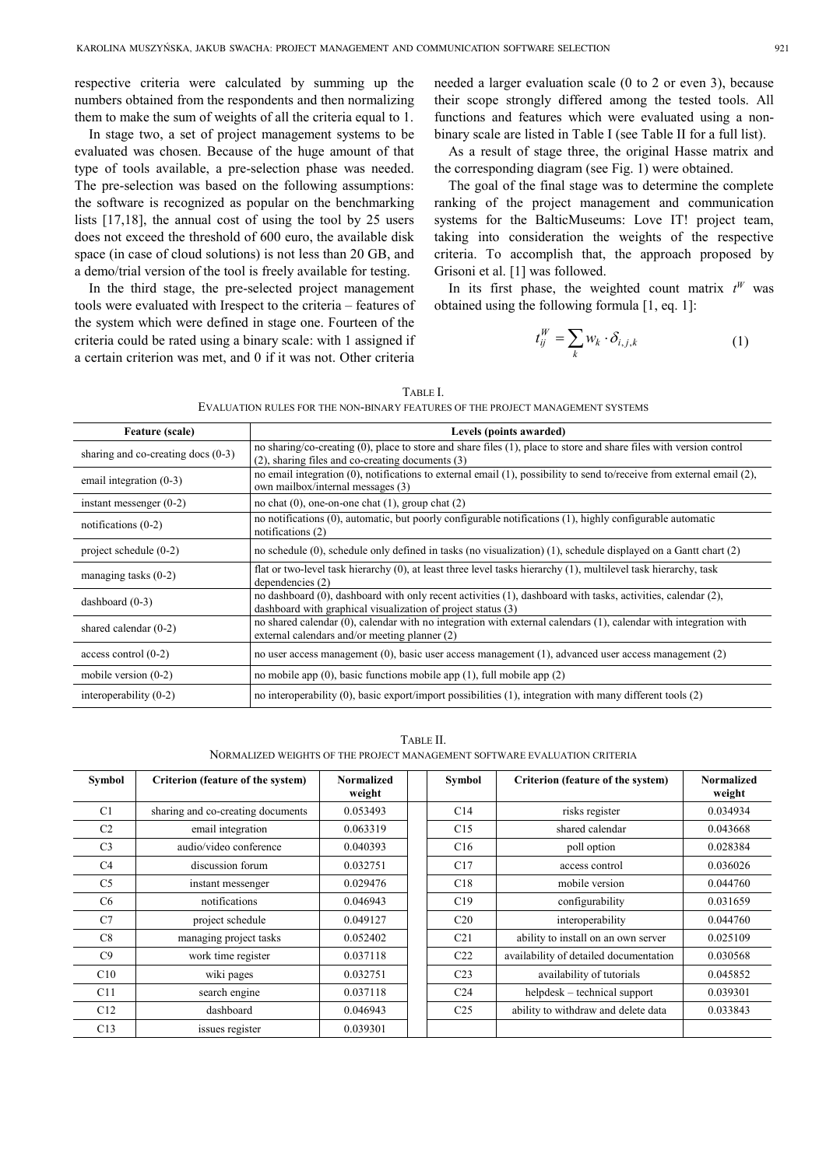respective criteria were calculated by summing up the numbers obtained from the respondents and then normalizing them to make the sum of weights of all the criteria equal to 1.

In stage two, a set of project management systems to be evaluated was chosen. Because of the huge amount of that type of tools available, a pre-selection phase was needed. The pre-selection was based on the following assumptions: the software is recognized as popular on the benchmarking lists [17,18], the annual cost of using the tool by 25 users does not exceed the threshold of 600 euro, the available disk space (in case of cloud solutions) is not less than 20 GB, and a demo/trial version of the tool is freely available for testing.

In the third stage, the pre-selected project management tools were evaluated with Irespect to the criteria – features of the system which were defined in stage one. Fourteen of the criteria could be rated using a binary scale: with 1 assigned if a certain criterion was met, and 0 if it was not. Other criteria needed a larger evaluation scale (0 to 2 or even 3), because their scope strongly differed among the tested tools. All functions and features which were evaluated using a nonbinary scale are listed in Table I (see Table II for a full list).

As a result of stage three, the original Hasse matrix and the corresponding diagram (see Fig. 1) were obtained.

The goal of the final stage was to determine the complete ranking of the project management and communication systems for the BalticMuseums: Love IT! project team, taking into consideration the weights of the respective criteria. To accomplish that, the approach proposed by Grisoni et al. [1] was followed.

In its first phase, the weighted count matrix  $t^W$  was obtained using the following formula [1, eq. 1]:

$$
t_{ij}^W = \sum_k w_k \cdot \delta_{i,j,k} \tag{1}
$$

| TABLE I.                                                                       |  |
|--------------------------------------------------------------------------------|--|
| EVALUATION RULES FOR THE NON-BINARY FEATURES OF THE PROJECT MANAGEMENT SYSTEMS |  |

| <b>Feature (scale)</b>               | Levels (points awarded)                                                                                                                                                      |
|--------------------------------------|------------------------------------------------------------------------------------------------------------------------------------------------------------------------------|
| sharing and co-creating docs $(0-3)$ | no sharing/co-creating (0), place to store and share files (1), place to store and share files with version control<br>$(2)$ , sharing files and co-creating documents $(3)$ |
| email integration $(0-3)$            | no email integration (0), notifications to external email (1), possibility to send to/receive from external email (2),<br>own mailbox/internal messages (3)                  |
| instant messenger $(0-2)$            | no chat $(0)$ , one-on-one chat $(1)$ , group chat $(2)$                                                                                                                     |
| notifications $(0-2)$                | no notifications $(0)$ , automatic, but poorly configurable notifications $(1)$ , highly configurable automatic<br>notifications (2)                                         |
| project schedule $(0-2)$             | no schedule (0), schedule only defined in tasks (no visualization) $(1)$ , schedule displayed on a Gantt chart $(2)$                                                         |
| managing tasks $(0-2)$               | flat or two-level task hierarchy $(0)$ , at least three level tasks hierarchy $(1)$ , multilevel task hierarchy, task<br>dependencies (2)                                    |
| dashboard $(0-3)$                    | no dashboard (0), dashboard with only recent activities (1), dashboard with tasks, activities, calendar (2),<br>dashboard with graphical visualization of project status (3) |
| shared calendar $(0-2)$              | no shared calendar (0), calendar with no integration with external calendars (1), calendar with integration with<br>external calendars and/or meeting planner (2)            |
| access control $(0-2)$               | no user access management (0), basic user access management (1), advanced user access management (2)                                                                         |
| mobile version $(0-2)$               | no mobile app $(0)$ , basic functions mobile app $(1)$ , full mobile app $(2)$                                                                                               |
| interoperability $(0-2)$             | no interoperability $(0)$ , basic export/import possibilities $(1)$ , integration with many different tools $(2)$                                                            |

TABLE II. NORMALIZED WEIGHTS OF THE PROJECT MANAGEMENT SOFTWARE EVALUATION CRITERIA

| Symbol         | Criterion (feature of the system) | <b>Normalized</b><br>weight | Symbol          | Criterion (feature of the system)      | <b>Normalized</b><br>weight |
|----------------|-----------------------------------|-----------------------------|-----------------|----------------------------------------|-----------------------------|
| C <sub>1</sub> | sharing and co-creating documents | 0.053493                    | C14             | risks register                         | 0.034934                    |
| C <sub>2</sub> | email integration                 | 0.063319                    | C15             | shared calendar                        | 0.043668                    |
| C <sub>3</sub> | audio/video conference            | 0.040393                    | C16             | poll option                            | 0.028384                    |
| C4             | discussion forum                  | 0.032751                    | C17             | access control                         | 0.036026                    |
| C <sub>5</sub> | instant messenger                 | 0.029476                    | C18             | mobile version                         | 0.044760                    |
| C <sub>6</sub> | notifications                     | 0.046943                    | C19             | configurability                        | 0.031659                    |
| C <sub>7</sub> | project schedule                  | 0.049127                    | C <sub>20</sub> | interoperability                       | 0.044760                    |
| C8             | managing project tasks            | 0.052402                    | C <sub>21</sub> | ability to install on an own server    | 0.025109                    |
| C9             | work time register                | 0.037118                    | C <sub>22</sub> | availability of detailed documentation | 0.030568                    |
| C10            | wiki pages                        | 0.032751                    | C <sub>23</sub> | availability of tutorials              | 0.045852                    |
| C11            | search engine                     | 0.037118                    | C <sub>24</sub> | helpdesk – technical support           | 0.039301                    |
| C12            | dashboard                         | 0.046943                    | C <sub>25</sub> | ability to withdraw and delete data    | 0.033843                    |
| C13            | issues register                   | 0.039301                    |                 |                                        |                             |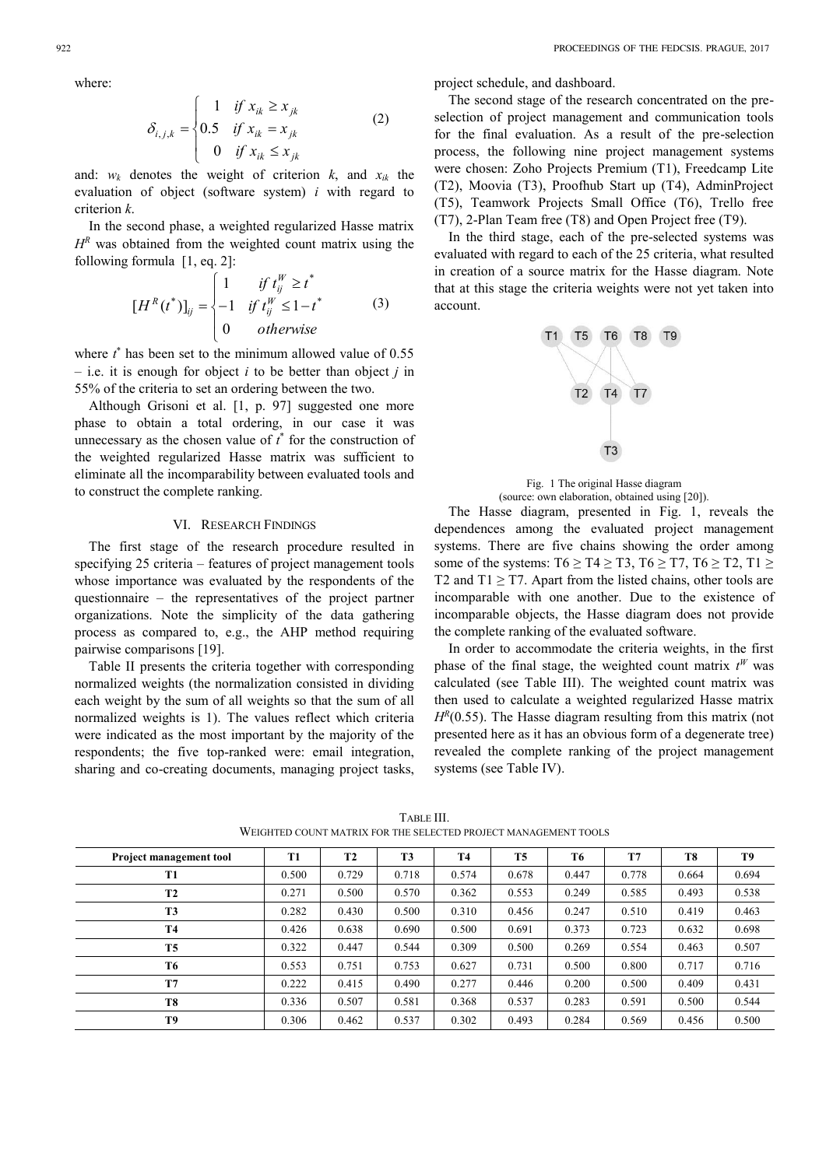$$
\delta_{i,j,k} = \begin{cases}\n1 & \text{if } x_{ik} \ge x_{jk} \\
0.5 & \text{if } x_{ik} = x_{jk} \\
0 & \text{if } x_{ik} \le x_{jk}\n\end{cases}
$$
\n(2)

and:  $w_k$  denotes the weight of criterion  $k$ , and  $x_{ik}$  the evaluation of object (software system) *i* with regard to criterion *k*.

In the second phase, a weighted regularized Hasse matrix *H<sup>R</sup>* was obtained from the weighted count matrix using the following formula [1, eq. 2]:

$$
[HR(t*)]ij = \begin{cases} 1 & if tijW \ge t* \\ -1 & if tijW \le 1-t* \\ 0 & otherwise \end{cases}
$$
 (3)

where  $t^*$  has been set to the minimum allowed value of  $0.55$ – i.e. it is enough for object *i* to be better than object *j* in 55% of the criteria to set an ordering between the two.

Although Grisoni et al. [1, p. 97] suggested one more phase to obtain a total ordering, in our case it was unnecessary as the chosen value of  $t^*$  for the construction of the weighted regularized Hasse matrix was sufficient to eliminate all the incomparability between evaluated tools and to construct the complete ranking.

## VI. RESEARCH FINDINGS

The first stage of the research procedure resulted in specifying 25 criteria – features of project management tools whose importance was evaluated by the respondents of the questionnaire – the representatives of the project partner organizations. Note the simplicity of the data gathering process as compared to, e.g., the AHP method requiring pairwise comparisons [19].

Table II presents the criteria together with corresponding normalized weights (the normalization consisted in dividing each weight by the sum of all weights so that the sum of all normalized weights is 1). The values reflect which criteria were indicated as the most important by the majority of the respondents; the five top-ranked were: email integration, sharing and co-creating documents, managing project tasks,

project schedule, and dashboard.

The second stage of the research concentrated on the preselection of project management and communication tools for the final evaluation. As a result of the pre-selection process, the following nine project management systems were chosen: Zoho Projects Premium (T1), Freedcamp Lite (T2), Moovia (T3), Proofhub Start up (T4), AdminProject (T5), Teamwork Projects Small Office (T6), Trello free (T7), 2-Plan Team free (T8) and Open Project free (T9).

In the third stage, each of the pre-selected systems was evaluated with regard to each of the 25 criteria, what resulted in creation of a source matrix for the Hasse diagram. Note that at this stage the criteria weights were not yet taken into account.



Fig. 1 The original Hasse diagram (source: own elaboration, obtained using [20]).

The Hasse diagram, presented in Fig. 1, reveals the dependences among the evaluated project management systems. There are five chains showing the order among some of the systems:  $T6 \geq T4 \geq T3$ ,  $T6 \geq T7$ ,  $T6 \geq T2$ ,  $T1 \geq T3$ T2 and  $T1 \geq T7$ . Apart from the listed chains, other tools are incomparable with one another. Due to the existence of incomparable objects, the Hasse diagram does not provide the complete ranking of the evaluated software.

In order to accommodate the criteria weights, in the first phase of the final stage, the weighted count matrix  $t^W$  was calculated (see Table III). The weighted count matrix was then used to calculate a weighted regularized Hasse matrix  $H<sup>R</sup>(0.55)$ . The Hasse diagram resulting from this matrix (not presented here as it has an obvious form of a degenerate tree) revealed the complete ranking of the project management systems (see Table IV).

| Project management tool | T <sub>1</sub> | T <sub>2</sub> | T <sub>3</sub> | <b>T4</b> | T <sub>5</sub> | T6    | T7    | T8    | T9    |
|-------------------------|----------------|----------------|----------------|-----------|----------------|-------|-------|-------|-------|
| T1                      | 0.500          | 0.729          | 0.718          | 0.574     | 0.678          | 0.447 | 0.778 | 0.664 | 0.694 |
| <b>T2</b>               | 0.271          | 0.500          | 0.570          | 0.362     | 0.553          | 0.249 | 0.585 | 0.493 | 0.538 |
| T3                      | 0.282          | 0.430          | 0.500          | 0.310     | 0.456          | 0.247 | 0.510 | 0.419 | 0.463 |
| T4                      | 0.426          | 0.638          | 0.690          | 0.500     | 0.691          | 0.373 | 0.723 | 0.632 | 0.698 |
| T <sub>5</sub>          | 0.322          | 0.447          | 0.544          | 0.309     | 0.500          | 0.269 | 0.554 | 0.463 | 0.507 |
| T6                      | 0.553          | 0.751          | 0.753          | 0.627     | 0.731          | 0.500 | 0.800 | 0.717 | 0.716 |
| <b>T7</b>               | 0.222          | 0.415          | 0.490          | 0.277     | 0.446          | 0.200 | 0.500 | 0.409 | 0.431 |
| T8                      | 0.336          | 0.507          | 0.581          | 0.368     | 0.537          | 0.283 | 0.591 | 0.500 | 0.544 |
| T9                      | 0.306          | 0.462          | 0.537          | 0.302     | 0.493          | 0.284 | 0.569 | 0.456 | 0.500 |

TABLE III. WEIGHTED COUNT MATRIX FOR THE SELECTED PROJECT MANAGEMENT TOOLS